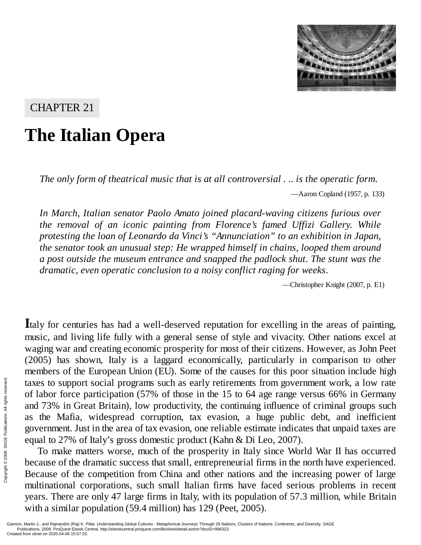

CHAPTER 21

# **The Italian Opera**

*The only form of theatrical music that is at all controversial . .. is the operatic form*.

—Aaron Copland (1957, p. 133)

*In March, Italian senator Paolo Amato joined placard-waving citizens furious over the removal of an iconic painting from Florence's famed Uffizi Gallery. While protesting the loan of Leonardo da Vinci's "Annunciation" to an exhibition in Japan, the senator took an unusual step: He wrapped himself in chains, looped them around a post outside the museum entrance and snapped the padlock shut. The stunt was the dramatic, even operatic conclusion to a noisy conflict raging for weeks*.

—Christopher Knight (2007, p. E1)

**I**taly for centuries has had a well-deserved reputation for excelling in the areas of painting, music, and living life fully with a general sense of style and vivacity. Other nations excel at waging war and creating economic prosperity for most of their citizens. However, as John Peet (2005) has shown, Italy is a laggard economically, particularly in comparison to other members of the European Union (EU). Some of the causes for this poor situation include high taxes to support social programs such as early retirements from government work, a low rate of labor force participation (57% of those in the 15 to 64 age range versus 66% in Germany and 73% in Great Britain), low productivity, the continuing influence of criminal groups such as the Mafia, widespread corruption, tax evasion, a huge public debt, and inefficient government. Just in the area of tax evasion, one reliable estimate indicates that unpaid taxes are equal to 27% of Italy's gross domestic product (Kahn & Di Leo, 2007).

To make matters worse, much of the prosperity in Italy since World War II has occurred because of the dramatic success that small, entrepreneurial firms in the north have experienced. Because of the competition from China and other nations and the increasing power of large multinational corporations, such small Italian firms have faced serious problems in recent years. There are only 47 large firms in Italy, with its population of 57.3 million, while Britain with a similar population (59.4 million) has 129 (Peet, 2005). Example taxes to support<br>
of labor force p<br>
and 73% in Gre<br>
as the Mafia,<br>
government. Just<br>
equal to 27% of<br>
To make mat<br>
because of the d<br>
Because of the d<br>
Because of the multinational co<br>
years. There are<br>
with a simi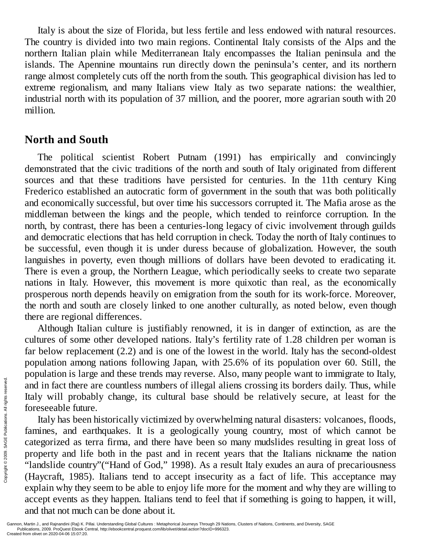Italy is about the size of Florida, but less fertile and less endowed with natural resources. The country is divided into two main regions. Continental Italy consists of the Alps and the northern Italian plain while Mediterranean Italy encompasses the Italian peninsula and the islands. The Apennine mountains run directly down the peninsula's center, and its northern range almost completely cuts off the north from the south. This geographical division has led to extreme regionalism, and many Italians view Italy as two separate nations: the wealthier, industrial north with its population of 37 million, and the poorer, more agrarian south with 20 million.

#### **North and South**

The political scientist Robert Putnam (1991) has empirically and convincingly demonstrated that the civic traditions of the north and south of Italy originated from different sources and that these traditions have persisted for centuries. In the 11th century King Frederico established an autocratic form of government in the south that was both politically and economically successful, but over time his successors corrupted it. The Mafia arose as the middleman between the kings and the people, which tended to reinforce corruption. In the north, by contrast, there has been a centuries-long legacy of civic involvement through guilds and democratic elections that has held corruption in check. Today the north of Italy continues to be successful, even though it is under duress because of globalization. However, the south languishes in poverty, even though millions of dollars have been devoted to eradicating it. There is even a group, the Northern League, which periodically seeks to create two separate nations in Italy. However, this movement is more quixotic than real, as the economically prosperous north depends heavily on emigration from the south for its work-force. Moreover, the north and south are closely linked to one another culturally, as noted below, even though there are regional differences.

Although Italian culture is justifiably renowned, it is in danger of extinction, as are the cultures of some other developed nations. Italy's fertility rate of 1.28 children per woman is far below replacement (2.2) and is one of the lowest in the world. Italy has the second-oldest population among nations following Japan, with 25.6% of its population over 60. Still, the population is large and these trends may reverse. Also, many people want to immigrate to Italy, and in fact there are countless numbers of illegal aliens crossing its borders daily. Thus, while Italy will probably change, its cultural base should be relatively secure, at least for the foreseeable future.

Italy has been historically victimized by overwhelming natural disasters: volcanoes, floods, famines, and earthquakes. It is a geologically young country, most of which cannot be categorized as terra firma, and there have been so many mudslides resulting in great loss of property and life both in the past and in recent years that the Italians nickname the nation "landslide country"("Hand of God," 1998). As a result Italy exudes an aura of precariousness (Haycraft, 1985). Italians tend to accept insecurity as a fact of life. This acceptance may explain why they seem to be able to enjoy life more for the moment and why they are willing to accept events as they happen. Italians tend to feel that if something is going to happen, it will, and that not much can be done about it. Example the pair of the created from olivet on 2020-04-06 15:07:20. Created from olivet on 2020-04-06 15:07:20. Created from olivet on 2020-04-06 15:07:20.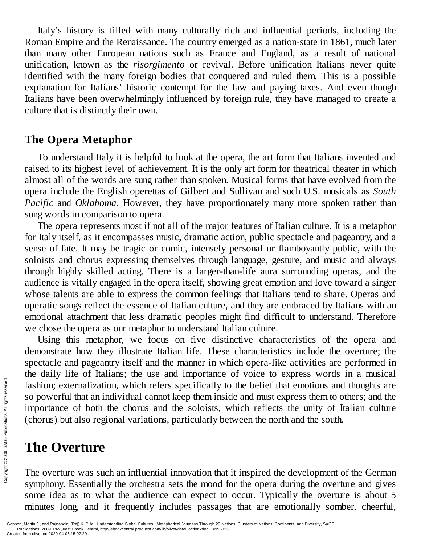Italy's history is filled with many culturally rich and influential periods, including the Roman Empire and the Renaissance. The country emerged as a nation-state in 1861, much later than many other European nations such as France and England, as a result of national unification, known as the *risorgimento* or revival. Before unification Italians never quite identified with the many foreign bodies that conquered and ruled them. This is a possible explanation for Italians' historic contempt for the law and paying taxes. And even though Italians have been overwhelmingly influenced by foreign rule, they have managed to create a culture that is distinctly their own.

#### **The Opera Metaphor**

To understand Italy it is helpful to look at the opera, the art form that Italians invented and raised to its highest level of achievement. It is the only art form for theatrical theater in which almost all of the words are sung rather than spoken. Musical forms that have evolved from the opera include the English operettas of Gilbert and Sullivan and such U.S. musicals as *South Pacific* and *Oklahoma*. However, they have proportionately many more spoken rather than sung words in comparison to opera.

The opera represents most if not all of the major features of Italian culture. It is a metaphor for Italy itself, as it encompasses music, dramatic action, public spectacle and pageantry, and a sense of fate. It may be tragic or comic, intensely personal or flamboyantly public, with the soloists and chorus expressing themselves through language, gesture, and music and always through highly skilled acting. There is a larger-than-life aura surrounding operas, and the audience is vitally engaged in the opera itself, showing great emotion and love toward a singer whose talents are able to express the common feelings that Italians tend to share. Operas and operatic songs reflect the essence of Italian culture, and they are embraced by Italians with an emotional attachment that less dramatic peoples might find difficult to understand. Therefore we chose the opera as our metaphor to understand Italian culture.

Using this metaphor, we focus on five distinctive characteristics of the opera and demonstrate how they illustrate Italian life. These characteristics include the overture; the spectacle and pageantry itself and the manner in which opera-like activities are performed in the daily life of Italians; the use and importance of voice to express words in a musical fashion; externalization, which refers specifically to the belief that emotions and thoughts are so powerful that an individual cannot keep them inside and must express them to others; and the importance of both the chorus and the soloists, which reflects the unity of Italian culture (chorus) but also regional variations, particularly between the north and the south. Example the control of the control of the control of the control of the control of the control of the control of the control of the created from olivet on 2020-04-06 15:07:20. Predeted from olivet on 2020-04-06 15:07:20.

### **The Overture**

The overture was such an influential innovation that it inspired the development of the German symphony. Essentially the orchestra sets the mood for the opera during the overture and gives some idea as to what the audience can expect to occur. Typically the overture is about 5 minutes long, and it frequently includes passages that are emotionally somber, cheerful,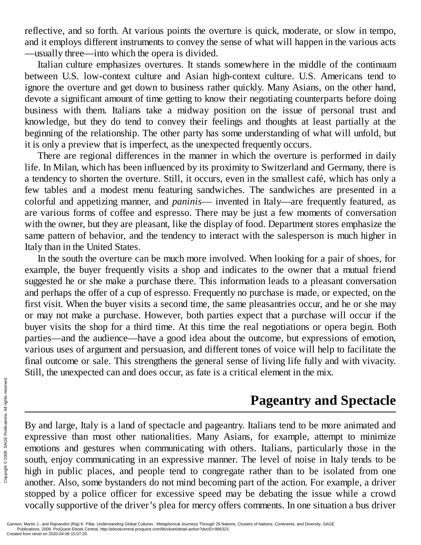reflective, and so forth. At various points the overture is quick, moderate, or slow in tempo, and it employs different instruments to convey the sense of what will happen in the various acts —usually three—into which the opera is divided.

Italian culture emphasizes overtures. It stands somewhere in the middle of the continuum between U.S. low-context culture and Asian high-context culture. U.S. Americans tend to ignore the overture and get down to business rather quickly. Many Asians, on the other hand, devote a significant amount of time getting to know their negotiating counterparts before doing business with them. Italians take a midway position on the issue of personal trust and knowledge, but they do tend to convey their feelings and thoughts at least partially at the beginning of the relationship. The other party has some understanding of what will unfold, but it is only a preview that is imperfect, as the unexpected frequently occurs.

There are regional differences in the manner in which the overture is performed in daily life. In Milan, which has been influenced by its proximity to Switzerland and Germany, there is a tendency to shorten the overture. Still, it occurs, even in the smallest café, which has only a few tables and a modest menu featuring sandwiches. The sandwiches are presented in a colorful and appetizing manner, and *paninis*— invented in Italy—are frequently featured, as are various forms of coffee and espresso. There may be just a few moments of conversation with the owner, but they are pleasant, like the display of food. Department stores emphasize the same pattern of behavior, and the tendency to interact with the salesperson is much higher in Italy than in the United States.

In the south the overture can be much more involved. When looking for a pair of shoes, for example, the buyer frequently visits a shop and indicates to the owner that a mutual friend suggested he or she make a purchase there. This information leads to a pleasant conversation and perhaps the offer of a cup of espresso. Frequently no purchase is made, or expected, on the first visit. When the buyer visits a second time, the same pleasantries occur, and he or she may or may not make a purchase. However, both parties expect that a purchase will occur if the buyer visits the shop for a third time. At this time the real negotiations or opera begin. Both parties—and the audience—have a good idea about the outcome, but expressions of emotion, various uses of argument and persuasion, and different tones of voice will help to facilitate the final outcome or sale. This strengthens the general sense of living life fully and with vivacity. Still, the unexpected can and does occur, as fate is a critical element in the mix.

# **Pageantry and Spectacle**

By and large, Italy is a land of spectacle and pageantry. Italians tend to be more animated and expressive than most other nationalities. Many Asians, for example, attempt to minimize emotions and gestures when communicating with others. Italians, particularly those in the south, enjoy communicating in an expressive manner. The level of noise in Italy tends to be high in public places, and people tend to congregate rather than to be isolated from one another. Also, some bystanders do not mind becoming part of the action. For example, a driver stopped by a police officer for excessive speed may be debating the issue while a crowd vocally supportive of the driver's plea for mercy offers comments. In one situation a bus driver Example the **Created from olivet on 2020-04-06 15:07:20**<br>Created from olivet on 2020-04-06 15:07:20. Created from olivet on 2020-04-06 15:07:20.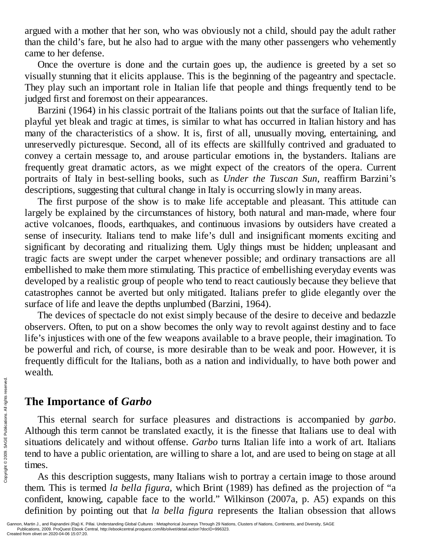argued with a mother that her son, who was obviously not a child, should pay the adult rather than the child's fare, but he also had to argue with the many other passengers who vehemently came to her defense.

Once the overture is done and the curtain goes up, the audience is greeted by a set so visually stunning that it elicits applause. This is the beginning of the pageantry and spectacle. They play such an important role in Italian life that people and things frequently tend to be judged first and foremost on their appearances.

Barzini (1964) in his classic portrait of the Italians points out that the surface of Italian life, playful yet bleak and tragic at times, is similar to what has occurred in Italian history and has many of the characteristics of a show. It is, first of all, unusually moving, entertaining, and unreservedly picturesque. Second, all of its effects are skillfully contrived and graduated to convey a certain message to, and arouse particular emotions in, the bystanders. Italians are frequently great dramatic actors, as we might expect of the creators of the opera. Current portraits of Italy in best-selling books, such as *Under the Tuscan Sun*, reaffirm Barzini's descriptions, suggesting that cultural change in Italy is occurring slowly in many areas.

The first purpose of the show is to make life acceptable and pleasant. This attitude can largely be explained by the circumstances of history, both natural and man-made, where four active volcanoes, floods, earthquakes, and continuous invasions by outsiders have created a sense of insecurity. Italians tend to make life's dull and insignificant moments exciting and significant by decorating and ritualizing them. Ugly things must be hidden; unpleasant and tragic facts are swept under the carpet whenever possible; and ordinary transactions are all embellished to make them more stimulating. This practice of embellishing everyday events was developed by a realistic group of people who tend to react cautiously because they believe that catastrophes cannot be averted but only mitigated. Italians prefer to glide elegantly over the surface of life and leave the depths unplumbed (Barzini, 1964).

The devices of spectacle do not exist simply because of the desire to deceive and bedazzle observers. Often, to put on a show becomes the only way to revolt against destiny and to face life's injustices with one of the few weapons available to a brave people, their imagination. To be powerful and rich, of course, is more desirable than to be weak and poor. However, it is frequently difficult for the Italians, both as a nation and individually, to have both power and wealth.

#### **The Importance of** *Garbo*

This eternal search for surface pleasures and distractions is accompanied by *garbo*. Although this term cannot be translated exactly, it is the finesse that Italians use to deal with situations delicately and without offense. *Garbo* turns Italian life into a work of art. Italians tend to have a public orientation, are willing to share a lot, and are used to being on stage at all times. The Importate  $\frac{1}{2}$ <br>  $\frac{1}{2}$  This eternal<br>
Although this te<br>
situations delicated for a pu<br>
times. As this described.<br>
As this described from and Rajnandini (Raj) K. P<br>
Cannon, Martin J., and Rajnandini (Raj) K. P<br>

As this description suggests, many Italians wish to portray a certain image to those around them. This is termed *la bella figura*, which Brint (1989) has defined as the projection of "a confident, knowing, capable face to the world." Wilkinson (2007a, p. A5) expands on this definition by pointing out that *la bella figura* represents the Italian obsession that allows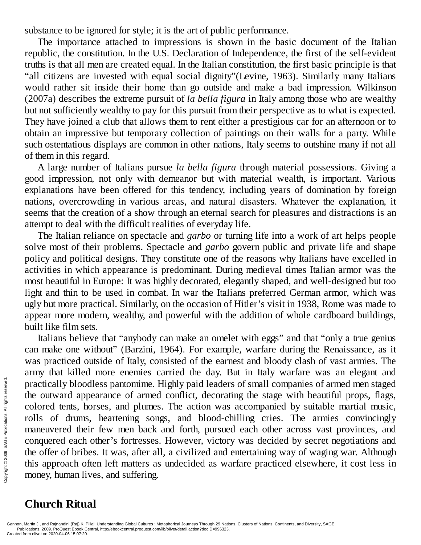substance to be ignored for style; it is the art of public performance.

The importance attached to impressions is shown in the basic document of the Italian republic, the constitution. In the U.S. Declaration of Independence, the first of the self-evident truths is that all men are created equal. In the Italian constitution, the first basic principle is that "all citizens are invested with equal social dignity"(Levine, 1963). Similarly many Italians would rather sit inside their home than go outside and make a bad impression. Wilkinson (2007a) describes the extreme pursuit of *la bella figura* in Italy among those who are wealthy but not sufficiently wealthy to pay for this pursuit from their perspective as to what is expected. They have joined a club that allows them to rent either a prestigious car for an afternoon or to obtain an impressive but temporary collection of paintings on their walls for a party. While such ostentatious displays are common in other nations, Italy seems to outshine many if not all of them in this regard.

A large number of Italians pursue *la bella figura* through material possessions. Giving a good impression, not only with demeanor but with material wealth, is important. Various explanations have been offered for this tendency, including years of domination by foreign nations, overcrowding in various areas, and natural disasters. Whatever the explanation, it seems that the creation of a show through an eternal search for pleasures and distractions is an attempt to deal with the difficult realities of everyday life.

The Italian reliance on spectacle and *garbo* or turning life into a work of art helps people solve most of their problems. Spectacle and *garbo* govern public and private life and shape policy and political designs. They constitute one of the reasons why Italians have excelled in activities in which appearance is predominant. During medieval times Italian armor was the most beautiful in Europe: It was highly decorated, elegantly shaped, and well-designed but too light and thin to be used in combat. In war the Italians preferred German armor, which was ugly but more practical. Similarly, on the occasion of Hitler's visit in 1938, Rome was made to appear more modern, wealthy, and powerful with the addition of whole cardboard buildings, built like film sets.

Italians believe that "anybody can make an omelet with eggs" and that "only a true genius can make one without" (Barzini, 1964). For example, warfare during the Renaissance, as it was practiced outside of Italy, consisted of the earnest and bloody clash of vast armies. The army that killed more enemies carried the day. But in Italy warfare was an elegant and practically bloodless pantomime. Highly paid leaders of small companies of armed men staged the outward appearance of armed conflict, decorating the stage with beautiful props, flags, colored tents, horses, and plumes. The action was accompanied by suitable martial music, rolls of drums, heartening songs, and blood-chilling cries. The armies convincingly maneuvered their few men back and forth, pursued each other across vast provinces, and conquered each other's fortresses. However, victory was decided by secret negotiations and the offer of bribes. It was, after all, a civilized and entertaining way of waging war. Although this approach often left matters as undecided as warfare practiced elsewhere, it cost less in money, human lives, and suffering.  $\begin{array}{ll} \frac{1}{2} & \text{practically blood} \ \text{the outward app} \ \text{colored tents, h} \ \text{rolls of drums} \ \text{maneuvered the} \ \text{conquered each} \ \text{the offer of brib} \ \text{dis} \ \frac{1}{2} & \text{in} \ \frac{1}{2} & \text{in} \ \text{the offer of brib} \ \text{this approach of money, human li} \ \text{C} & \text{R} & \text{The image} \ \text{C} & \text{The image} \ \text{C} & \text{The image} \ \text{C} & \text{The image} \ \text{C} & \text{The image} \ \text{C} & \text{The image$ 

#### **Church Ritual**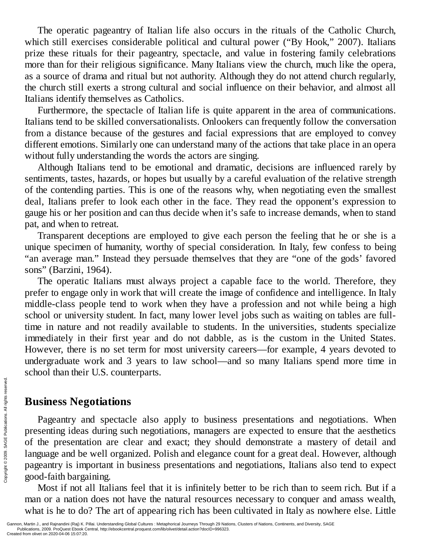The operatic pageantry of Italian life also occurs in the rituals of the Catholic Church, which still exercises considerable political and cultural power ("By Hook," 2007). Italians prize these rituals for their pageantry, spectacle, and value in fostering family celebrations more than for their religious significance. Many Italians view the church, much like the opera, as a source of drama and ritual but not authority. Although they do not attend church regularly, the church still exerts a strong cultural and social influence on their behavior, and almost all Italians identify themselves as Catholics.

Furthermore, the spectacle of Italian life is quite apparent in the area of communications. Italians tend to be skilled conversationalists. Onlookers can frequently follow the conversation from a distance because of the gestures and facial expressions that are employed to convey different emotions. Similarly one can understand many of the actions that take place in an opera without fully understanding the words the actors are singing.

Although Italians tend to be emotional and dramatic, decisions are influenced rarely by sentiments, tastes, hazards, or hopes but usually by a careful evaluation of the relative strength of the contending parties. This is one of the reasons why, when negotiating even the smallest deal, Italians prefer to look each other in the face. They read the opponent's expression to gauge his or her position and can thus decide when it's safe to increase demands, when to stand pat, and when to retreat.

Transparent deceptions are employed to give each person the feeling that he or she is a unique specimen of humanity, worthy of special consideration. In Italy, few confess to being "an average man." Instead they persuade themselves that they are "one of the gods' favored sons" (Barzini, 1964).

The operatic Italians must always project a capable face to the world. Therefore, they prefer to engage only in work that will create the image of confidence and intelligence. In Italy middle-class people tend to work when they have a profession and not while being a high school or university student. In fact, many lower level jobs such as waiting on tables are fulltime in nature and not readily available to students. In the universities, students specialize immediately in their first year and do not dabble, as is the custom in the United States. However, there is no set term for most university careers—for example, 4 years devoted to undergraduate work and 3 years to law school—and so many Italians spend more time in school than their U.S. counterparts.

#### **Business Negotiations**

Pageantry and spectacle also apply to business presentations and negotiations. When presenting ideas during such negotiations, managers are expected to ensure that the aesthetics of the presentation are clear and exact; they should demonstrate a mastery of detail and language and be well organized. Polish and elegance count for a great deal. However, although pageantry is important in business presentations and negotiations, Italians also tend to expect good-faith bargaining. **Example 2020**<br> **CREATER FROM SET CREATER FROM SAGE PROPAGATION**<br> **CREATER FROM SACE PROPAGATION**<br> **CREATER FROM SAGE PROPAGATION**<br>
CREATER FROM SAGE PUBLICATION CONDIT WHAT IS the to do<br>
CRANON, Martin J., and Rajnandini

Most if not all Italians feel that it is infinitely better to be rich than to seem rich. But if a man or a nation does not have the natural resources necessary to conquer and amass wealth, what is he to do? The art of appearing rich has been cultivated in Italy as nowhere else. Little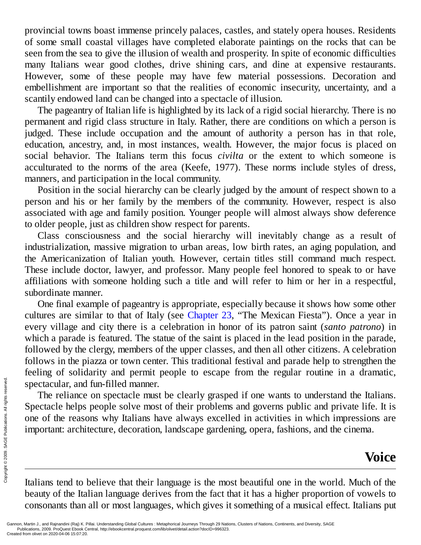provincial towns boast immense princely palaces, castles, and stately opera houses. Residents of some small coastal villages have completed elaborate paintings on the rocks that can be seen from the sea to give the illusion of wealth and prosperity. In spite of economic difficulties many Italians wear good clothes, drive shining cars, and dine at expensive restaurants. However, some of these people may have few material possessions. Decoration and embellishment are important so that the realities of economic insecurity, uncertainty, and a scantily endowed land can be changed into a spectacle of illusion.

The pageantry of Italian life is highlighted by its lack of a rigid social hierarchy. There is no permanent and rigid class structure in Italy. Rather, there are conditions on which a person is judged. These include occupation and the amount of authority a person has in that role, education, ancestry, and, in most instances, wealth. However, the major focus is placed on social behavior. The Italians term this focus *civilta* or the extent to which someone is acculturated to the norms of the area (Keefe, 1977). These norms include styles of dress, manners, and participation in the local community.

Position in the social hierarchy can be clearly judged by the amount of respect shown to a person and his or her family by the members of the community. However, respect is also associated with age and family position. Younger people will almost always show deference to older people, just as children show respect for parents.

Class consciousness and the social hierarchy will inevitably change as a result of industrialization, massive migration to urban areas, low birth rates, an aging population, and the Americanization of Italian youth. However, certain titles still command much respect. These include doctor, lawyer, and professor. Many people feel honored to speak to or have affiliations with someone holding such a title and will refer to him or her in a respectful, subordinate manner.

One final example of pageantry is appropriate, especially because it shows how some other cultures are similar to that of Italy (see Chapter 23, "The Mexican Fiesta"). Once a year in every village and city there is a celebration in honor of its patron saint (*santo patrono*) in which a parade is featured. The statue of the saint is placed in the lead position in the parade, followed by the clergy, members of the upper classes, and then all other citizens. A celebration follows in the piazza or town center. This traditional festival and parade help to strengthen the feeling of solidarity and permit people to escape from the regular routine in a dramatic, spectacular, and fun-filled manner.

The reliance on spectacle must be clearly grasped if one wants to understand the Italians. Spectacle helps people solve most of their problems and governs public and private life. It is one of the reasons why Italians have always excelled in activities in which impressions are important: architecture, decoration, landscape gardening, opera, fashions, and the cinema. Expectacular, and<br>  $\frac{1}{2}$  Spectacle helps<br>
one of the reasonness<br>
important: archives in a<br>
served from and  $\frac{1}{2}$ <br>  $\frac{1}{2}$ <br>  $\frac{1}{2}$ <br>  $\frac{1}{2}$ <br>  $\frac{1}{2}$ <br>  $\frac{1}{2}$ <br>  $\frac{1}{2}$ <br>  $\frac{1}{2}$ <br>  $\frac{1}{2}$ <br>  $\frac{1}{2}$ <br>

### **Voice**

Italians tend to believe that their language is the most beautiful one in the world. Much of the beauty of the Italian language derives from the fact that it has a higher proportion of vowels to consonants than all or most languages, which gives it something of a musical effect. Italians put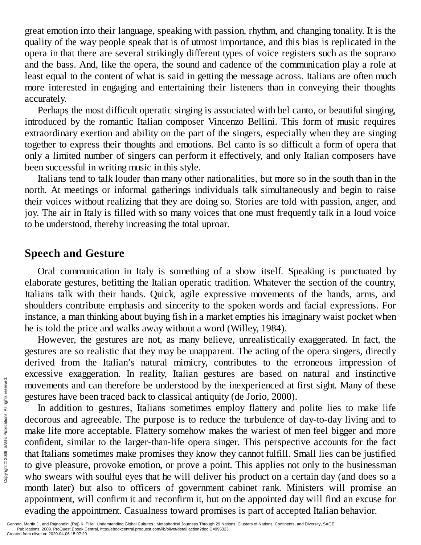great emotion into their language, speaking with passion, rhythm, and changing tonality. It is the quality of the way people speak that is of utmost importance, and this bias is replicated in the opera in that there are several strikingly different types of voice registers such as the soprano and the bass. And, like the opera, the sound and cadence of the communication play a role at least equal to the content of what is said in getting the message across. Italians are often much more interested in engaging and entertaining their listeners than in conveying their thoughts accurately.

Perhaps the most difficult operatic singing is associated with bel canto, or beautiful singing, introduced by the romantic Italian composer Vincenzo Bellini. This form of music requires extraordinary exertion and ability on the part of the singers, especially when they are singing together to express their thoughts and emotions. Bel canto is so difficult a form of opera that only a limited number of singers can perform it effectively, and only Italian composers have been successful in writing music in this style.

Italians tend to talk louder than many other nationalities, but more so in the south than in the north. At meetings or informal gatherings individuals talk simultaneously and begin to raise their voices without realizing that they are doing so. Stories are told with passion, anger, and joy. The air in Italy is filled with so many voices that one must frequently talk in a loud voice to be understood, thereby increasing the total uproar.

#### **Speech and Gesture**

Oral communication in Italy is something of a show itself. Speaking is punctuated by elaborate gestures, befitting the Italian operatic tradition. Whatever the section of the country, Italians talk with their hands. Quick, agile expressive movements of the hands, arms, and shoulders contribute emphasis and sincerity to the spoken words and facial expressions. For instance, a man thinking about buying fish in a market empties his imaginary waist pocket when he is told the price and walks away without a word (Willey, 1984).

However, the gestures are not, as many believe, unrealistically exaggerated. In fact, the gestures are so realistic that they may be unapparent. The acting of the opera singers, directly derived from the Italian's natural mimicry, contributes to the erroneous impression of excessive exaggeration. In reality, Italian gestures are based on natural and instinctive movements and can therefore be understood by the inexperienced at first sight. Many of these gestures have been traced back to classical antiquity (de Jorio, 2000).

In addition to gestures, Italians sometimes employ flattery and polite lies to make life decorous and agreeable. The purpose is to reduce the turbulence of day-to-day living and to make life more acceptable. Flattery somehow makes the wariest of men feel bigger and more confident, similar to the larger-than-life opera singer. This perspective accounts for the fact that Italians sometimes make promises they know they cannot fulfill. Small lies can be justified to give pleasure, provoke emotion, or prove a point. This applies not only to the businessman who swears with soulful eyes that he will deliver his product on a certain day (and does so a month later) but also to officers of government cabinet rank. Ministers will promise an appointment, will confirm it and reconfirm it, but on the appointed day will find an excuse for evading the appointment. Casualness toward promises is part of accepted Italian behavior. Example the contribution of the apple of the created from olivet on 2020-04-06 15:07:20.<br>Created from olivet on 2020-04-06 15:07:20. Created from olivet on 2020-04-06 15:07:20.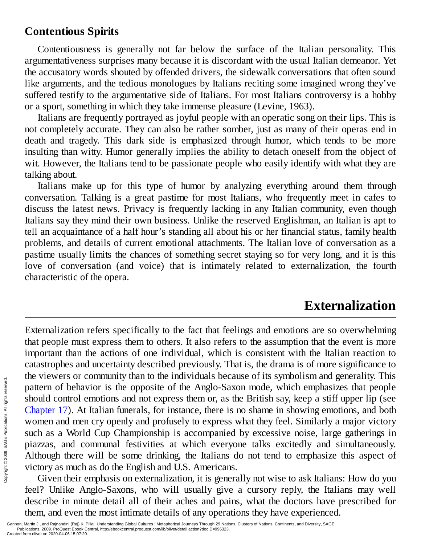#### **Contentious Spirits**

Contentiousness is generally not far below the surface of the Italian personality. This argumentativeness surprises many because it is discordant with the usual Italian demeanor. Yet the accusatory words shouted by offended drivers, the sidewalk conversations that often sound like arguments, and the tedious monologues by Italians reciting some imagined wrong they've suffered testify to the argumentative side of Italians. For most Italians controversy is a hobby or a sport, something in which they take immense pleasure (Levine, 1963).

Italians are frequently portrayed as joyful people with an operatic song on their lips. This is not completely accurate. They can also be rather somber, just as many of their operas end in death and tragedy. This dark side is emphasized through humor, which tends to be more insulting than witty. Humor generally implies the ability to detach oneself from the object of wit. However, the Italians tend to be passionate people who easily identify with what they are talking about.

Italians make up for this type of humor by analyzing everything around them through conversation. Talking is a great pastime for most Italians, who frequently meet in cafes to discuss the latest news. Privacy is frequently lacking in any Italian community, even though Italians say they mind their own business. Unlike the reserved Englishman, an Italian is apt to tell an acquaintance of a half hour's standing all about his or her financial status, family health problems, and details of current emotional attachments. The Italian love of conversation as a pastime usually limits the chances of something secret staying so for very long, and it is this love of conversation (and voice) that is intimately related to externalization, the fourth characteristic of the opera.

### **Externalization**

Externalization refers specifically to the fact that feelings and emotions are so overwhelming that people must express them to others. It also refers to the assumption that the event is more important than the actions of one individual, which is consistent with the Italian reaction to catastrophes and uncertainty described previously. That is, the drama is of more significance to the viewers or community than to the individuals because of its symbolism and generality. This pattern of behavior is the opposite of the Anglo-Saxon mode, which emphasizes that people should control emotions and not express them or, as the British say, keep a stiff upper lip (see Chapter 17). At Italian funerals, for instance, there is no shame in showing emotions, and both women and men cry openly and profusely to express what they feel. Similarly a major victory such as a World Cup Championship is accompanied by excessive noise, large gatherings in piazzas, and communal festivities at which everyone talks excitedly and simultaneously. Although there will be some drinking, the Italians do not tend to emphasize this aspect of victory as much as do the English and U.S. Americans. Exerced from olivetario 2009. Predict Created from olivet on 2020-04-06 15:07:20.<br>Created from olivet on 2020-04-06 15:07:20.<br>Created from olivet on 2020-04-06 15:07:20.

Given their emphasis on externalization, it is generally not wise to ask Italians: How do you feel? Unlike Anglo-Saxons, who will usually give a cursory reply, the Italians may well describe in minute detail all of their aches and pains, what the doctors have prescribed for them, and even the most intimate details of any operations they have experienced.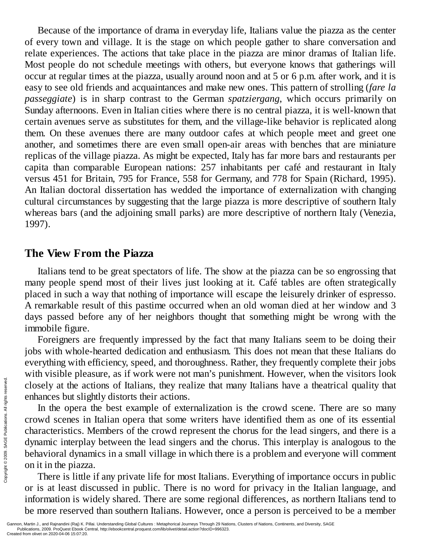Because of the importance of drama in everyday life, Italians value the piazza as the center of every town and village. It is the stage on which people gather to share conversation and relate experiences. The actions that take place in the piazza are minor dramas of Italian life. Most people do not schedule meetings with others, but everyone knows that gatherings will occur at regular times at the piazza, usually around noon and at 5 or 6 p.m. after work, and it is easy to see old friends and acquaintances and make new ones. This pattern of strolling (*fare la passeggiate*) is in sharp contrast to the German *spatziergang*, which occurs primarily on Sunday afternoons. Even in Italian cities where there is no central piazza, it is well-known that certain avenues serve as substitutes for them, and the village-like behavior is replicated along them. On these avenues there are many outdoor cafes at which people meet and greet one another, and sometimes there are even small open-air areas with benches that are miniature replicas of the village piazza. As might be expected, Italy has far more bars and restaurants per capita than comparable European nations: 257 inhabitants per café and restaurant in Italy versus 451 for Britain, 795 for France, 558 for Germany, and 778 for Spain (Richard, 1995). An Italian doctoral dissertation has wedded the importance of externalization with changing cultural circumstances by suggesting that the large piazza is more descriptive of southern Italy whereas bars (and the adjoining small parks) are more descriptive of northern Italy (Venezia, 1997).

#### **The View From the Piazza**

Italians tend to be great spectators of life. The show at the piazza can be so engrossing that many people spend most of their lives just looking at it. Café tables are often strategically placed in such a way that nothing of importance will escape the leisurely drinker of espresso. A remarkable result of this pastime occurred when an old woman died at her window and 3 days passed before any of her neighbors thought that something might be wrong with the immobile figure.

Foreigners are frequently impressed by the fact that many Italians seem to be doing their jobs with whole-hearted dedication and enthusiasm. This does not mean that these Italians do everything with efficiency, speed, and thoroughness. Rather, they frequently complete their jobs with visible pleasure, as if work were not man's punishment. However, when the visitors look closely at the actions of Italians, they realize that many Italians have a theatrical quality that enhances but slightly distorts their actions.

In the opera the best example of externalization is the crowd scene. There are so many crowd scenes in Italian opera that some writers have identified them as one of its essential characteristics. Members of the crowd represent the chorus for the lead singers, and there is a dynamic interplay between the lead singers and the chorus. This interplay is analogous to the behavioral dynamics in a small village in which there is a problem and everyone will comment on it in the piazza. Created from olivet on 2020-04-06 15:07:20. Created from olivet on 2020-04-06 15:07:20. Created from olivet on 2020-04-06 15:07:20.

There is little if any private life for most Italians. Everything of importance occurs in public or is at least discussed in public. There is no word for privacy in the Italian language, and information is widely shared. There are some regional differences, as northern Italians tend to be more reserved than southern Italians. However, once a person is perceived to be a member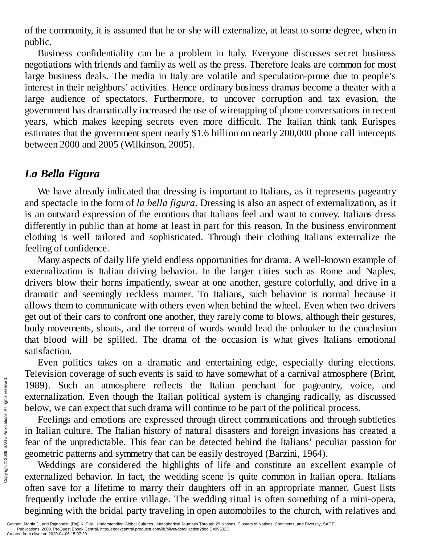of the community, it is assumed that he or she will externalize, at least to some degree, when in public.

Business confidentiality can be a problem in Italy. Everyone discusses secret business negotiations with friends and family as well as the press. Therefore leaks are common for most large business deals. The media in Italy are volatile and speculation-prone due to people's interest in their neighbors' activities. Hence ordinary business dramas become a theater with a large audience of spectators. Furthermore, to uncover corruption and tax evasion, the government has dramatically increased the use of wiretapping of phone conversations in recent years, which makes keeping secrets even more difficult. The Italian think tank Eurispes estimates that the government spent nearly \$1.6 billion on nearly 200,000 phone call intercepts between 2000 and 2005 (Wilkinson, 2005).

#### *La Bella Figura*

We have already indicated that dressing is important to Italians, as it represents pageantry and spectacle in the form of *la bella figura*. Dressing is also an aspect of externalization, as it is an outward expression of the emotions that Italians feel and want to convey. Italians dress differently in public than at home at least in part for this reason. In the business environment clothing is well tailored and sophisticated. Through their clothing Italians externalize the feeling of confidence.

Many aspects of daily life yield endless opportunities for drama. A well-known example of externalization is Italian driving behavior. In the larger cities such as Rome and Naples, drivers blow their horns impatiently, swear at one another, gesture colorfully, and drive in a dramatic and seemingly reckless manner. To Italians, such behavior is normal because it allows them to communicate with others even when behind the wheel. Even when two drivers get out of their cars to confront one another, they rarely come to blows, although their gestures, body movements, shouts, and the torrent of words would lead the onlooker to the conclusion that blood will be spilled. The drama of the occasion is what gives Italians emotional satisfaction.

Even politics takes on a dramatic and entertaining edge, especially during elections. Television coverage of such events is said to have somewhat of a carnival atmosphere (Brint, 1989). Such an atmosphere reflects the Italian penchant for pageantry, voice, and externalization. Even though the Italian political system is changing radically, as discussed below, we can expect that such drama will continue to be part of the political process.

Feelings and emotions are expressed through direct communications and through subtleties in Italian culture. The Italian history of natural disasters and foreign invasions has created a fear of the unpredictable. This fear can be detected behind the Italians' peculiar passion for geometric patterns and symmetry that can be easily destroyed (Barzini, 1964).

Weddings are considered the highlights of life and constitute an excellent example of externalized behavior. In fact, the wedding scene is quite common in Italian opera. Italians often save for a lifetime to marry their daughters off in an appropriate manner. Guest lists frequently include the entire village. The wedding ritual is often something of a mini-opera, beginning with the bridal party traveling in open automobiles to the church, with relatives and Example the UPLACE of the UPLACE of the UPLACE of the UPLACE of the UPLACE of the UPLACE of the UPLACE of the UPLACE of the UPLACE of the UPLACE of the UPLACE of the UPLACE of the UPLACE of the UPLACE of the UPLACE of the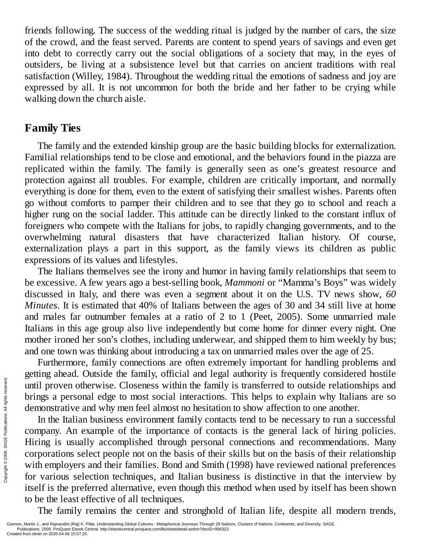friends following. The success of the wedding ritual is judged by the number of cars, the size of the crowd, and the feast served. Parents are content to spend years of savings and even get into debt to correctly carry out the social obligations of a society that may, in the eyes of outsiders, be living at a subsistence level but that carries on ancient traditions with real satisfaction (Willey, 1984). Throughout the wedding ritual the emotions of sadness and joy are expressed by all. It is not uncommon for both the bride and her father to be crying while walking down the church aisle.

#### **Family Ties**

The family and the extended kinship group are the basic building blocks for externalization. Familial relationships tend to be close and emotional, and the behaviors found in the piazza are replicated within the family. The family is generally seen as one's greatest resource and protection against all troubles. For example, children are critically important, and normally everything is done for them, even to the extent of satisfying their smallest wishes. Parents often go without comforts to pamper their children and to see that they go to school and reach a higher rung on the social ladder. This attitude can be directly linked to the constant influx of foreigners who compete with the Italians for jobs, to rapidly changing governments, and to the overwhelming natural disasters that have characterized Italian history. Of course, externalization plays a part in this support, as the family views its children as public expressions of its values and lifestyles.

The Italians themselves see the irony and humor in having family relationships that seem to be excessive. A few years ago a best-selling book, *Mammoni* or "Mamma's Boys" was widely discussed in Italy, and there was even a segment about it on the U.S. TV news show, *60 Minutes*. It is estimated that 40% of Italians between the ages of 30 and 34 still live at home and males far outnumber females at a ratio of 2 to 1 (Peet, 2005). Some unmarried male Italians in this age group also live independently but come home for dinner every night. One mother ironed her son's clothes, including underwear, and shipped them to him weekly by bus; and one town was thinking about introducing a tax on unmarried males over the age of 25.

Furthermore, family connections are often extremely important for handling problems and getting ahead. Outside the family, official and legal authority is frequently considered hostile until proven otherwise. Closeness within the family is transferred to outside relationships and brings a personal edge to most social interactions. This helps to explain why Italians are so demonstrative and why men feel almost no hesitation to show affection to one another.

In the Italian business environment family contacts tend to be necessary to run a successful company. An example of the importance of contacts is the general lack of hiring policies. Hiring is usually accomplished through personal connections and recommendations. Many corporations select people not on the basis of their skills but on the basis of their relationship with employers and their families. Bond and Smith (1998) have reviewed national preferences for various selection techniques, and Italian business is distinctive in that the interview by itself is the preferred alternative, even though this method when used by itself has been shown to be the least effective of all techniques. Example the company. An example of the state of the company. An example of the state of the company. All examples  $\frac{1}{2}$  with employers for various sele itself is the prefit to be the least ef The family represent Expo

The family remains the center and stronghold of Italian life, despite all modern trends,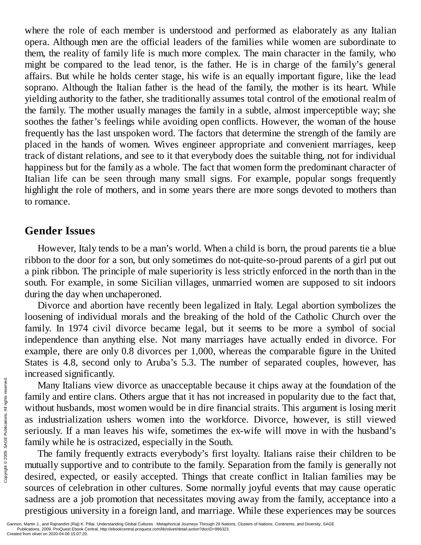where the role of each member is understood and performed as elaborately as any Italian opera. Although men are the official leaders of the families while women are subordinate to them, the reality of family life is much more complex. The main character in the family, who might be compared to the lead tenor, is the father. He is in charge of the family's general affairs. But while he holds center stage, his wife is an equally important figure, like the lead soprano. Although the Italian father is the head of the family, the mother is its heart. While yielding authority to the father, she traditionally assumes total control of the emotional realm of the family. The mother usually manages the family in a subtle, almost imperceptible way; she soothes the father's feelings while avoiding open conflicts. However, the woman of the house frequently has the last unspoken word. The factors that determine the strength of the family are placed in the hands of women. Wives engineer appropriate and convenient marriages, keep track of distant relations, and see to it that everybody does the suitable thing, not for individual happiness but for the family as a whole. The fact that women form the predominant character of Italian life can be seen through many small signs. For example, popular songs frequently highlight the role of mothers, and in some years there are more songs devoted to mothers than to romance.

#### **Gender Issues**

However, Italy tends to be a man's world. When a child is born, the proud parents tie a blue ribbon to the door for a son, but only sometimes do not-quite-so-proud parents of a girl put out a pink ribbon. The principle of male superiority is less strictly enforced in the north than in the south. For example, in some Sicilian villages, unmarried women are supposed to sit indoors during the day when unchaperoned.

Divorce and abortion have recently been legalized in Italy. Legal abortion symbolizes the loosening of individual morals and the breaking of the hold of the Catholic Church over the family. In 1974 civil divorce became legal, but it seems to be more a symbol of social independence than anything else. Not many marriages have actually ended in divorce. For example, there are only 0.8 divorces per 1,000, whereas the comparable figure in the United States is 4.8, second only to Aruba's 5.3. The number of separated couples, however, has increased significantly.

Many Italians view divorce as unacceptable because it chips away at the foundation of the family and entire clans. Others argue that it has not increased in popularity due to the fact that, without husbands, most women would be in dire financial straits. This argument is losing merit as industrialization ushers women into the workforce. Divorce, however, is still viewed seriously. If a man leaves his wife, sometimes the ex-wife will move in with the husband's family while he is ostracized, especially in the South.

The family frequently extracts everybody's first loyalty. Italians raise their children to be mutually supportive and to contribute to the family. Separation from the family is generally not desired, expected, or easily accepted. Things that create conflict in Italian families may be sources of celebration in other cultures. Some normally joyful events that may cause operatic sadness are a job promotion that necessitates moving away from the family, acceptance into a prestigious university in a foreign land, and marriage. While these experiences may be sources Many Italian:<br>  $\frac{1}{2}$  family and entire<br>
without husband<br>
as industrializat<br>
seriously. If a n<br>
family while he<br>
The family f<br>
mutually suppor<br>
desired, expecte<br>
sources of celet<br>
sadness are a jo<br>
prestigious universa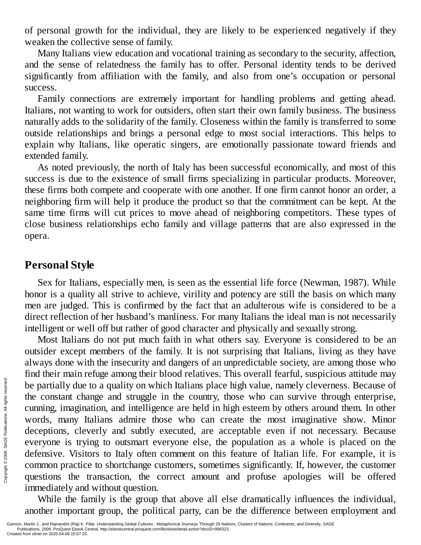of personal growth for the individual, they are likely to be experienced negatively if they weaken the collective sense of family.

Many Italians view education and vocational training as secondary to the security, affection, and the sense of relatedness the family has to offer. Personal identity tends to be derived significantly from affiliation with the family, and also from one's occupation or personal success.

Family connections are extremely important for handling problems and getting ahead. Italians, not wanting to work for outsiders, often start their own family business. The business naturally adds to the solidarity of the family. Closeness within the family is transferred to some outside relationships and brings a personal edge to most social interactions. This helps to explain why Italians, like operatic singers, are emotionally passionate toward friends and extended family.

As noted previously, the north of Italy has been successful economically, and most of this success is due to the existence of small firms specializing in particular products. Moreover, these firms both compete and cooperate with one another. If one firm cannot honor an order, a neighboring firm will help it produce the product so that the commitment can be kept. At the same time firms will cut prices to move ahead of neighboring competitors. These types of close business relationships echo family and village patterns that are also expressed in the opera.

#### **Personal Style**

Sex for Italians, especially men, is seen as the essential life force (Newman, 1987). While honor is a quality all strive to achieve, virility and potency are still the basis on which many men are judged. This is confirmed by the fact that an adulterous wife is considered to be a direct reflection of her husband's manliness. For many Italians the ideal man is not necessarily intelligent or well off but rather of good character and physically and sexually strong.

Most Italians do not put much faith in what others say. Everyone is considered to be an outsider except members of the family. It is not surprising that Italians, living as they have always done with the insecurity and dangers of an unpredictable society, are among those who find their main refuge among their blood relatives. This overall fearful, suspicious attitude may be partially due to a quality on which Italians place high value, namely cleverness. Because of the constant change and struggle in the country, those who can survive through enterprise, cunning, imagination, and intelligence are held in high esteem by others around them. In other words, many Italians admire those who can create the most imaginative show. Minor deceptions, cleverly and subtly executed, are acceptable even if not necessary. Because everyone is trying to outsmart everyone else, the population as a whole is placed on the defensive. Visitors to Italy often comment on this feature of Italian life. For example, it is common practice to shortchange customers, sometimes significantly. If, however, the customer questions the transaction, the correct amount and profuse apologies will be offered immediately and without question. Exerces the constant change is trying imagina<br>
in deceptions, cleveryone is trying defensive. Visite common practic<br>
gas everyone is trying defensive. Visite common practic questions the 1 immediately and While the fa<br>
an

While the family is the group that above all else dramatically influences the individual, another important group, the political party, can be the difference between employment and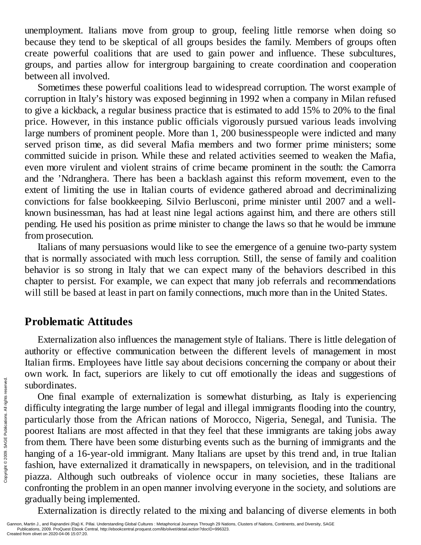unemployment. Italians move from group to group, feeling little remorse when doing so because they tend to be skeptical of all groups besides the family. Members of groups often create powerful coalitions that are used to gain power and influence. These subcultures, groups, and parties allow for intergroup bargaining to create coordination and cooperation between all involved.

Sometimes these powerful coalitions lead to widespread corruption. The worst example of corruption in Italy's history was exposed beginning in 1992 when a company in Milan refused to give a kickback, a regular business practice that is estimated to add 15% to 20% to the final price. However, in this instance public officials vigorously pursued various leads involving large numbers of prominent people. More than 1, 200 businesspeople were indicted and many served prison time, as did several Mafia members and two former prime ministers; some committed suicide in prison. While these and related activities seemed to weaken the Mafia, even more virulent and violent strains of crime became prominent in the south: the Camorra and the 'Ndranghera. There has been a backlash against this reform movement, even to the extent of limiting the use in Italian courts of evidence gathered abroad and decriminalizing convictions for false bookkeeping. Silvio Berlusconi, prime minister until 2007 and a wellknown businessman, has had at least nine legal actions against him, and there are others still pending. He used his position as prime minister to change the laws so that he would be immune from prosecution.

Italians of many persuasions would like to see the emergence of a genuine two-party system that is normally associated with much less corruption. Still, the sense of family and coalition behavior is so strong in Italy that we can expect many of the behaviors described in this chapter to persist. For example, we can expect that many job referrals and recommendations will still be based at least in part on family connections, much more than in the United States.

#### **Problematic Attitudes**

Externalization also influences the management style of Italians. There is little delegation of authority or effective communication between the different levels of management in most Italian firms. Employees have little say about decisions concerning the company or about their own work. In fact, superiors are likely to cut off emotionally the ideas and suggestions of subordinates.

One final example of externalization is somewhat disturbing, as Italy is experiencing difficulty integrating the large number of legal and illegal immigrants flooding into the country, particularly those from the African nations of Morocco, Nigeria, Senegal, and Tunisia. The poorest Italians are most affected in that they feel that these immigrants are taking jobs away from them. There have been some disturbing events such as the burning of immigrants and the hanging of a 16-year-old immigrant. Many Italians are upset by this trend and, in true Italian fashion, have externalized it dramatically in newspapers, on television, and in the traditional piazza. Although such outbreaks of violence occur in many societies, these Italians are confronting the problem in an open manner involving everyone in the society, and solutions are gradually being implemented. Exercise the controller of the created from olivet on 2020-04-06 15:07:20.<br>
Created from olivet on 2020-04-06 15:07:20.

Externalization is directly related to the mixing and balancing of diverse elements in both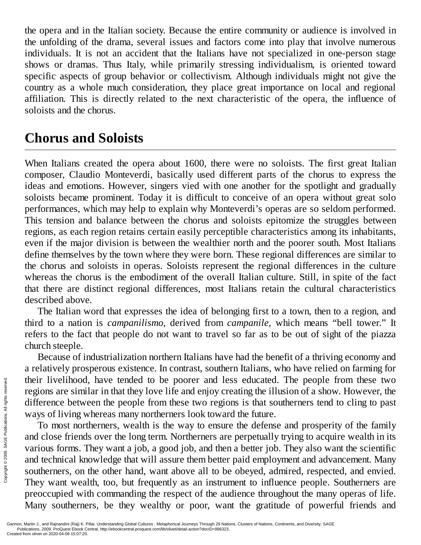the opera and in the Italian society. Because the entire community or audience is involved in the unfolding of the drama, several issues and factors come into play that involve numerous individuals. It is not an accident that the Italians have not specialized in one-person stage shows or dramas. Thus Italy, while primarily stressing individualism, is oriented toward specific aspects of group behavior or collectivism. Although individuals might not give the country as a whole much consideration, they place great importance on local and regional affiliation. This is directly related to the next characteristic of the opera, the influence of soloists and the chorus.

## **Chorus and Soloists**

When Italians created the opera about 1600, there were no soloists. The first great Italian composer, Claudio Monteverdi, basically used different parts of the chorus to express the ideas and emotions. However, singers vied with one another for the spotlight and gradually soloists became prominent. Today it is difficult to conceive of an opera without great solo performances, which may help to explain why Monteverdi's operas are so seldom performed. This tension and balance between the chorus and soloists epitomize the struggles between regions, as each region retains certain easily perceptible characteristics among its inhabitants, even if the major division is between the wealthier north and the poorer south. Most Italians define themselves by the town where they were born. These regional differences are similar to the chorus and soloists in operas. Soloists represent the regional differences in the culture whereas the chorus is the embodiment of the overall Italian culture. Still, in spite of the fact that there are distinct regional differences, most Italians retain the cultural characteristics described above.

The Italian word that expresses the idea of belonging first to a town, then to a region, and third to a nation is *campanilismo*, derived from *campanile,* which means "bell tower." It refers to the fact that people do not want to travel so far as to be out of sight of the piazza church steeple.

Because of industrialization northern Italians have had the benefit of a thriving economy and a relatively prosperous existence. In contrast, southern Italians, who have relied on farming for their livelihood, have tended to be poorer and less educated. The people from these two regions are similar in that they love life and enjoy creating the illusion of a show. However, the difference between the people from these two regions is that southerners tend to cling to past ways of living whereas many northerners look toward the future.

To most northerners, wealth is the way to ensure the defense and prosperity of the family and close friends over the long term. Northerners are perpetually trying to acquire wealth in its various forms. They want a job, a good job, and then a better job. They also want the scientific and technical knowledge that will assure them better paid employment and advancement. Many southerners, on the other hand, want above all to be obeyed, admired, respected, and envied. They want wealth, too, but frequently as an instrument to influence people. Southerners are preoccupied with commanding the respect of the audience throughout the many operas of life. Many southerners, be they wealthy or poor, want the gratitude of powerful friends and Example their livelihood<br>
regions are simi<br>
difference between<br>
ways of living w<br>
To most nort<br>
and close friend<br>
various forms. T<br>
and technical kn<br>
southerners, on<br>
They want weal<br>
preoccupied with<br>
preoccupied with<br>
Ma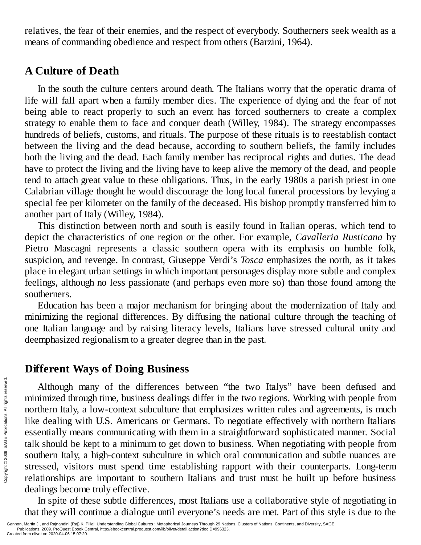relatives, the fear of their enemies, and the respect of everybody. Southerners seek wealth as a means of commanding obedience and respect from others (Barzini, 1964).

#### **A Culture of Death**

In the south the culture centers around death. The Italians worry that the operatic drama of life will fall apart when a family member dies. The experience of dying and the fear of not being able to react properly to such an event has forced southerners to create a complex strategy to enable them to face and conquer death (Willey, 1984). The strategy encompasses hundreds of beliefs, customs, and rituals. The purpose of these rituals is to reestablish contact between the living and the dead because, according to southern beliefs, the family includes both the living and the dead. Each family member has reciprocal rights and duties. The dead have to protect the living and the living have to keep alive the memory of the dead, and people tend to attach great value to these obligations. Thus, in the early 1980s a parish priest in one Calabrian village thought he would discourage the long local funeral processions by levying a special fee per kilometer on the family of the deceased. His bishop promptly transferred him to another part of Italy (Willey, 1984).

This distinction between north and south is easily found in Italian operas, which tend to depict the characteristics of one region or the other. For example, *Cavalleria Rusticana* by Pietro Mascagni represents a classic southern opera with its emphasis on humble folk, suspicion, and revenge. In contrast, Giuseppe Verdi's *Tosca* emphasizes the north, as it takes place in elegant urban settings in which important personages display more subtle and complex feelings, although no less passionate (and perhaps even more so) than those found among the southerners.

Education has been a major mechanism for bringing about the modernization of Italy and minimizing the regional differences. By diffusing the national culture through the teaching of one Italian language and by raising literacy levels, Italians have stressed cultural unity and deemphasized regionalism to a greater degree than in the past.

#### **Different Ways of Doing Business**

Although many of the differences between "the two Italys" have been defused and minimized through time, business dealings differ in the two regions. Working with people from northern Italy, a low-context subculture that emphasizes written rules and agreements, is much like dealing with U.S. Americans or Germans. To negotiate effectively with northern Italians essentially means communicating with them in a straightforward sophisticated manner. Social talk should be kept to a minimum to get down to business. When negotiating with people from southern Italy, a high-context subculture in which oral communication and subtle nuances are stressed, visitors must spend time establishing rapport with their counterparts. Long-term relationships are important to southern Italians and trust must be built up before business dealings become truly effective. Exerces the control of a control of created from olivet on 2020-04-06 15:07:20.<br>Created from olivet on 2020-04-06 15:07:20. Created from olivet on 2020-04-06 15:07:20.

In spite of these subtle differences, most Italians use a collaborative style of negotiating in that they will continue a dialogue until everyone's needs are met. Part of this style is due to the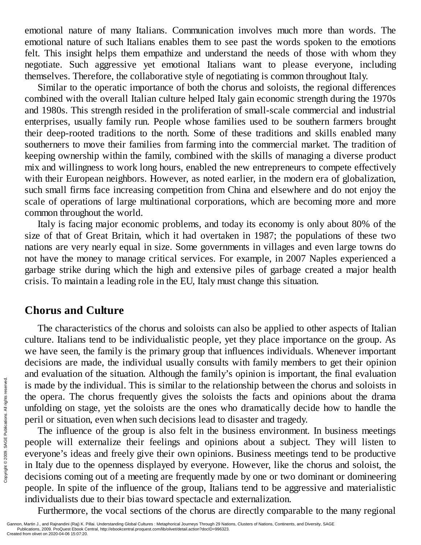emotional nature of many Italians. Communication involves much more than words. The emotional nature of such Italians enables them to see past the words spoken to the emotions felt. This insight helps them empathize and understand the needs of those with whom they negotiate. Such aggressive yet emotional Italians want to please everyone, including themselves. Therefore, the collaborative style of negotiating is common throughout Italy.

Similar to the operatic importance of both the chorus and soloists, the regional differences combined with the overall Italian culture helped Italy gain economic strength during the 1970s and 1980s. This strength resided in the proliferation of small-scale commercial and industrial enterprises, usually family run. People whose families used to be southern farmers brought their deep-rooted traditions to the north. Some of these traditions and skills enabled many southerners to move their families from farming into the commercial market. The tradition of keeping ownership within the family, combined with the skills of managing a diverse product mix and willingness to work long hours, enabled the new entrepreneurs to compete effectively with their European neighbors. However, as noted earlier, in the modern era of globalization, such small firms face increasing competition from China and elsewhere and do not enjoy the scale of operations of large multinational corporations, which are becoming more and more common throughout the world.

Italy is facing major economic problems, and today its economy is only about 80% of the size of that of Great Britain, which it had overtaken in 1987; the populations of these two nations are very nearly equal in size. Some governments in villages and even large towns do not have the money to manage critical services. For example, in 2007 Naples experienced a garbage strike during which the high and extensive piles of garbage created a major health crisis. To maintain a leading role in the EU, Italy must change this situation.

#### **Chorus and Culture**

The characteristics of the chorus and soloists can also be applied to other aspects of Italian culture. Italians tend to be individualistic people, yet they place importance on the group. As we have seen, the family is the primary group that influences individuals. Whenever important decisions are made, the individual usually consults with family members to get their opinion and evaluation of the situation. Although the family's opinion is important, the final evaluation is made by the individual. This is similar to the relationship between the chorus and soloists in the opera. The chorus frequently gives the soloists the facts and opinions about the drama unfolding on stage, yet the soloists are the ones who dramatically decide how to handle the peril or situation, even when such decisions lead to disaster and tragedy.

The influence of the group is also felt in the business environment. In business meetings people will externalize their feelings and opinions about a subject. They will listen to everyone's ideas and freely give their own opinions. Business meetings tend to be productive in Italy due to the openness displayed by everyone. However, like the chorus and soloist, the decisions coming out of a meeting are frequently made by one or two dominant or domineering people. In spite of the influence of the group, Italians tend to be aggressive and materialistic individualists due to their bias toward spectacle and externalization. From only the individual ists that  $\frac{1}{2}$  all  $\frac{1}{2}$  all experiment of the influence people will experime of the all rights in Italy due to the decisions comine people. In spite individualists du Furthermore,  $\frac{Gamma,$ 

Furthermore, the vocal sections of the chorus are directly comparable to the many regional